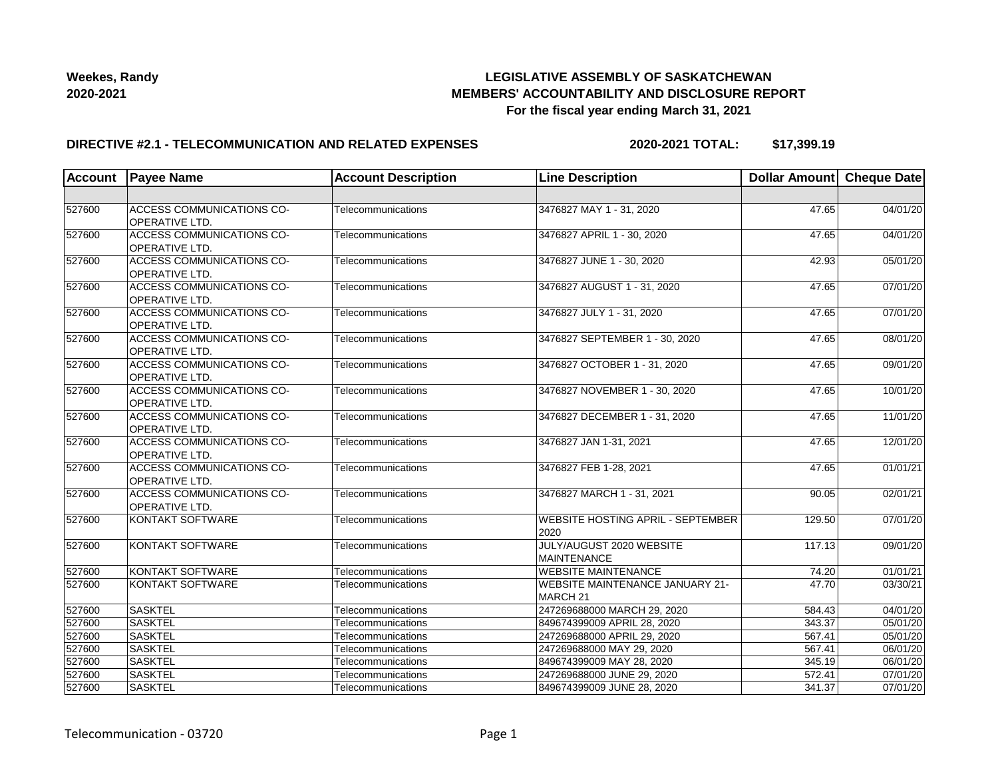## **LEGISLATIVE ASSEMBLY OF SASKATCHEWAN MEMBERS' ACCOUNTABILITY AND DISCLOSURE REPORT For the fiscal year ending March 31, 2021**

#### **DIRECTIVE #2.1 - TELECOMMUNICATION AND RELATED EXPENSES**

**2020-2021 TOTAL: \$17,399.19**

| <b>Account</b> | <b>Payee Name</b>                                         | <b>Account Description</b> | <b>Line Description</b>                                       | Dollar Amount Cheque Date |          |
|----------------|-----------------------------------------------------------|----------------------------|---------------------------------------------------------------|---------------------------|----------|
|                |                                                           |                            |                                                               |                           |          |
| 527600         | ACCESS COMMUNICATIONS CO-<br><b>OPERATIVE LTD.</b>        | Telecommunications         | 3476827 MAY 1 - 31, 2020                                      | 47.65                     | 04/01/20 |
| 527600         | <b>ACCESS COMMUNICATIONS CO-</b><br><b>OPERATIVE LTD.</b> | Telecommunications         | 3476827 APRIL 1 - 30, 2020                                    | 47.65                     | 04/01/20 |
| 527600         | <b>ACCESS COMMUNICATIONS CO-</b><br>OPERATIVE LTD.        | Telecommunications         | 3476827 JUNE 1 - 30, 2020                                     | 42.93                     | 05/01/20 |
| 527600         | ACCESS COMMUNICATIONS CO-<br>OPERATIVE LTD.               | Telecommunications         | 3476827 AUGUST 1 - 31, 2020                                   | 47.65                     | 07/01/20 |
| 527600         | ACCESS COMMUNICATIONS CO-<br><b>OPERATIVE LTD.</b>        | Telecommunications         | 3476827 JULY 1 - 31, 2020                                     | 47.65                     | 07/01/20 |
| 527600         | ACCESS COMMUNICATIONS CO-<br>OPERATIVE LTD.               | Telecommunications         | 3476827 SEPTEMBER 1 - 30, 2020                                | 47.65                     | 08/01/20 |
| 527600         | ACCESS COMMUNICATIONS CO-<br>OPERATIVE LTD.               | Telecommunications         | 3476827 OCTOBER 1 - 31, 2020                                  | 47.65                     | 09/01/20 |
| 527600         | ACCESS COMMUNICATIONS CO-<br><b>OPERATIVE LTD.</b>        | Telecommunications         | 3476827 NOVEMBER 1 - 30, 2020                                 | 47.65                     | 10/01/20 |
| 527600         | ACCESS COMMUNICATIONS CO-<br>OPERATIVE LTD.               | Telecommunications         | 3476827 DECEMBER 1 - 31, 2020                                 | 47.65                     | 11/01/20 |
| 527600         | ACCESS COMMUNICATIONS CO-<br>OPERATIVE LTD.               | Telecommunications         | 3476827 JAN 1-31, 2021                                        | 47.65                     | 12/01/20 |
| 527600         | ACCESS COMMUNICATIONS CO-<br><b>OPERATIVE LTD.</b>        | Telecommunications         | 3476827 FEB 1-28, 2021                                        | 47.65                     | 01/01/21 |
| 527600         | <b>ACCESS COMMUNICATIONS CO-</b><br><b>OPERATIVE LTD.</b> | Telecommunications         | 3476827 MARCH 1 - 31, 2021                                    | 90.05                     | 02/01/21 |
| 527600         | KONTAKT SOFTWARE                                          | Telecommunications         | <b>WEBSITE HOSTING APRIL - SEPTEMBER</b><br>2020              | 129.50                    | 07/01/20 |
| 527600         | <b>KONTAKT SOFTWARE</b>                                   | Telecommunications         | JULY/AUGUST 2020 WEBSITE<br><b>MAINTENANCE</b>                | 117.13                    | 09/01/20 |
| 527600         | <b>KONTAKT SOFTWARE</b>                                   | Telecommunications         | <b>WEBSITE MAINTENANCE</b>                                    | 74.20                     | 01/01/21 |
| 527600         | <b>KONTAKT SOFTWARE</b>                                   | Telecommunications         | <b>WEBSITE MAINTENANCE JANUARY 21-</b><br>MARCH <sub>21</sub> | 47.70                     | 03/30/21 |
| 527600         | <b>SASKTEL</b>                                            | Telecommunications         | 247269688000 MARCH 29, 2020                                   | 584.43                    | 04/01/20 |
| 527600         | <b>SASKTEL</b>                                            | Telecommunications         | 849674399009 APRIL 28, 2020                                   | 343.37                    | 05/01/20 |
| 527600         | <b>SASKTEL</b>                                            | Telecommunications         | 247269688000 APRIL 29, 2020                                   | 567.41                    | 05/01/20 |
| 527600         | <b>SASKTEL</b>                                            | Telecommunications         | 247269688000 MAY 29, 2020                                     | 567.41                    | 06/01/20 |
| 527600         | <b>SASKTEL</b>                                            | Telecommunications         | 849674399009 MAY 28, 2020                                     | 345.19                    | 06/01/20 |
| 527600         | <b>SASKTEL</b>                                            | Telecommunications         | 247269688000 JUNE 29, 2020                                    | 572.41                    | 07/01/20 |
| 527600         | <b>SASKTEL</b>                                            | Telecommunications         | 849674399009 JUNE 28, 2020                                    | 341.37                    | 07/01/20 |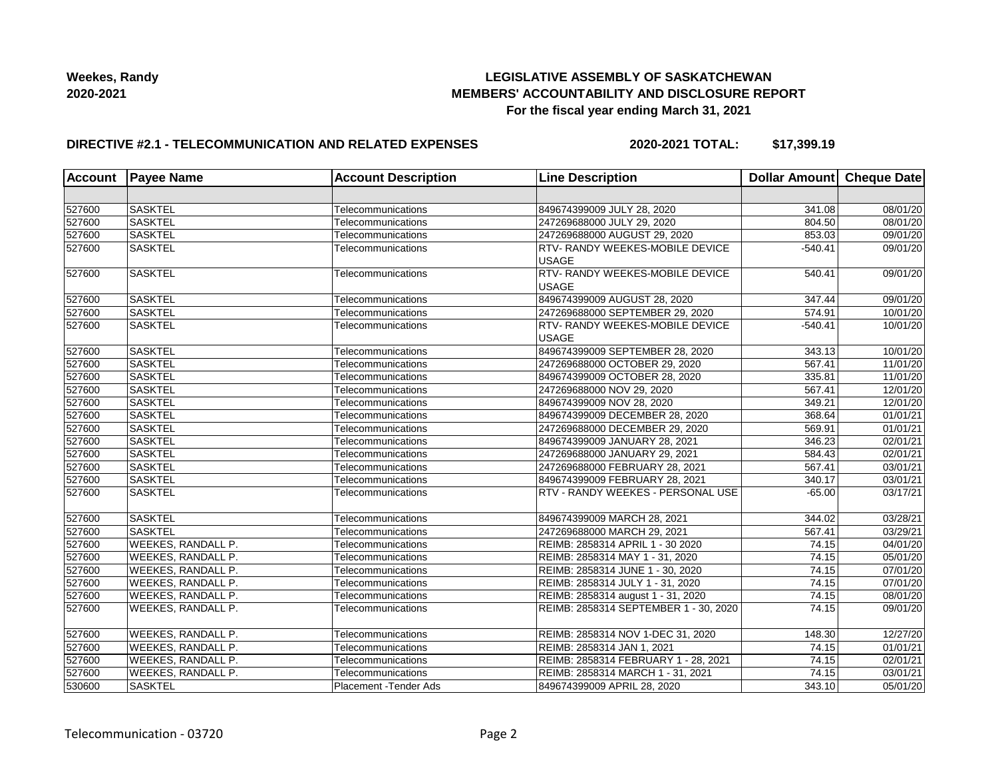## **LEGISLATIVE ASSEMBLY OF SASKATCHEWAN MEMBERS' ACCOUNTABILITY AND DISCLOSURE REPORT For the fiscal year ending March 31, 2021**

## **DIRECTIVE #2.1 - TELECOMMUNICATION AND RELATED EXPENSES**

**2020-2021 TOTAL: \$17,399.19**

| <b>Account</b> | <b>Payee Name</b>         | <b>Account Description</b> | <b>Line Description</b>                | Dollar Amount Cheque Date |          |
|----------------|---------------------------|----------------------------|----------------------------------------|---------------------------|----------|
|                |                           |                            |                                        |                           |          |
| 527600         | <b>SASKTEL</b>            | Telecommunications         | 849674399009 JULY 28, 2020             | 341.08                    | 08/01/20 |
| 527600         | <b>SASKTEL</b>            | Telecommunications         | 247269688000 JULY 29, 2020             | 804.50                    | 08/01/20 |
| 527600         | SASKTEL                   | Telecommunications         | 247269688000 AUGUST 29, 2020           | 853.03                    | 09/01/20 |
| 527600         | <b>SASKTEL</b>            | Telecommunications         | <b>RTV- RANDY WEEKES-MOBILE DEVICE</b> | $-540.41$                 | 09/01/20 |
|                |                           |                            | <b>USAGE</b>                           |                           |          |
| 527600         | <b>SASKTEL</b>            | Telecommunications         | RTV- RANDY WEEKES-MOBILE DEVICE        | 540.41                    | 09/01/20 |
|                |                           |                            | <b>USAGE</b>                           |                           |          |
| 527600         | <b>SASKTEL</b>            | Telecommunications         | 849674399009 AUGUST 28, 2020           | 347.44                    | 09/01/20 |
| 527600         | SASKTEL                   | Telecommunications         | 247269688000 SEPTEMBER 29, 2020        | 574.91                    | 10/01/20 |
| 527600         | <b>SASKTEL</b>            | Telecommunications         | <b>RTV- RANDY WEEKES-MOBILE DEVICE</b> | $-540.41$                 | 10/01/20 |
|                |                           |                            | <b>USAGE</b>                           |                           |          |
| 527600         | <b>SASKTEL</b>            | Telecommunications         | 849674399009 SEPTEMBER 28, 2020        | 343.13                    | 10/01/20 |
| 527600         | <b>SASKTEL</b>            | Telecommunications         | 247269688000 OCTOBER 29, 2020          | 567.41                    | 11/01/20 |
| 527600         | <b>SASKTEL</b>            | Telecommunications         | 849674399009 OCTOBER 28, 2020          | 335.81                    | 11/01/20 |
| 527600         | SASKTEL                   | Telecommunications         | 247269688000 NOV 29, 2020              | 567.41                    | 12/01/20 |
| 527600         | <b>SASKTEL</b>            | Telecommunications         | 849674399009 NOV 28, 2020              | 349.21                    | 12/01/20 |
| 527600         | <b>SASKTEL</b>            | Telecommunications         | 849674399009 DECEMBER 28, 2020         | 368.64                    | 01/01/21 |
| 527600         | <b>SASKTEL</b>            | Telecommunications         | 247269688000 DECEMBER 29, 2020         | 569.91                    | 01/01/21 |
| 527600         | <b>SASKTEL</b>            | Telecommunications         | 849674399009 JANUARY 28, 2021          | 346.23                    | 02/01/21 |
| 527600         | <b>SASKTEL</b>            | Telecommunications         | 247269688000 JANUARY 29, 2021          | 584.43                    | 02/01/21 |
| 527600         | SASKTEL                   | Telecommunications         | 247269688000 FEBRUARY 28, 2021         | 567.41                    | 03/01/21 |
| 527600         | <b>SASKTEL</b>            | Telecommunications         | 849674399009 FEBRUARY 28, 2021         | 340.17                    | 03/01/21 |
| 527600         | <b>SASKTEL</b>            | Telecommunications         | RTV - RANDY WEEKES - PERSONAL USE      | $-65.00$                  | 03/17/21 |
|                |                           |                            |                                        |                           |          |
| 527600         | <b>SASKTEL</b>            | Telecommunications         | 849674399009 MARCH 28, 2021            | 344.02                    | 03/28/21 |
| 527600         | <b>SASKTEL</b>            | Telecommunications         | 247269688000 MARCH 29, 2021            | 567.41                    | 03/29/21 |
| 527600         | <b>WEEKES, RANDALL P.</b> | Telecommunications         | REIMB: 2858314 APRIL 1 - 30 2020       | 74.15                     | 04/01/20 |
| 527600         | <b>WEEKES, RANDALL P.</b> | Telecommunications         | REIMB: 2858314 MAY 1 - 31, 2020        | 74.15                     | 05/01/20 |
| 527600         | <b>WEEKES, RANDALL P.</b> | Telecommunications         | REIMB: 2858314 JUNE 1 - 30, 2020       | 74.15                     | 07/01/20 |
| 527600         | <b>WEEKES, RANDALL P.</b> | Telecommunications         | REIMB: 2858314 JULY 1 - 31, 2020       | 74.15                     | 07/01/20 |
| 527600         | <b>WEEKES, RANDALL P.</b> | Telecommunications         | REIMB: 2858314 august 1 - 31, 2020     | 74.15                     | 08/01/20 |
| 527600         | <b>WEEKES, RANDALL P.</b> | Telecommunications         | REIMB: 2858314 SEPTEMBER 1 - 30, 2020  | 74.15                     | 09/01/20 |
|                |                           |                            |                                        |                           |          |
| 527600         | <b>WEEKES, RANDALL P.</b> | Telecommunications         | REIMB: 2858314 NOV 1-DEC 31, 2020      | 148.30                    | 12/27/20 |
| 527600         | <b>WEEKES, RANDALL P.</b> | Telecommunications         | REIMB: 2858314 JAN 1, 2021             | 74.15                     | 01/01/21 |
| 527600         | <b>WEEKES, RANDALL P.</b> | Telecommunications         | REIMB: 2858314 FEBRUARY 1 - 28, 2021   | 74.15                     | 02/01/21 |
| 527600         | WEEKES, RANDALL P.        | Telecommunications         | REIMB: 2858314 MARCH 1 - 31, 2021      | 74.15                     | 03/01/21 |
| 530600         | <b>SASKTEL</b>            | Placement - Tender Ads     | 849674399009 APRIL 28, 2020            | 343.10                    | 05/01/20 |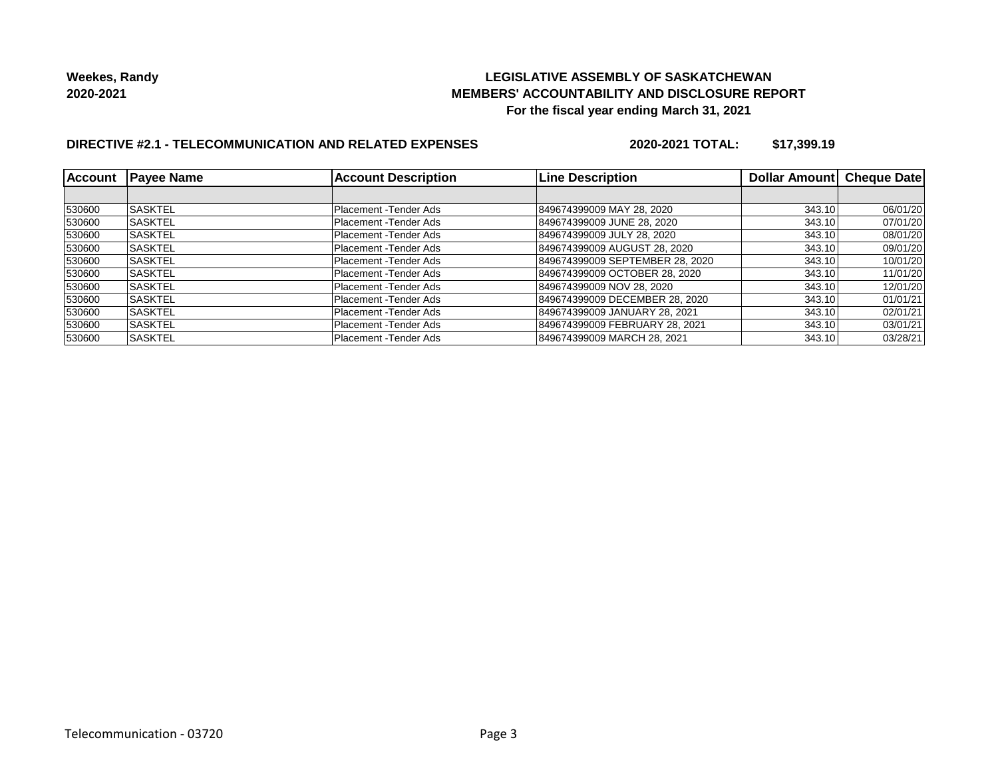## **LEGISLATIVE ASSEMBLY OF SASKATCHEWAN MEMBERS' ACCOUNTABILITY AND DISCLOSURE REPORT For the fiscal year ending March 31, 2021**

# **DIRECTIVE #2.1 - TELECOMMUNICATION AND RELATED EXPENSES**

**2020-2021 TOTAL: \$17,399.19**

| <b>Account</b> | <b>Payee Name</b> | <b>Account Description</b> | <b>Line Description</b>         | Dollar Amount | <b>Cheque Date</b> |
|----------------|-------------------|----------------------------|---------------------------------|---------------|--------------------|
|                |                   |                            |                                 |               |                    |
| 530600         | <b>SASKTEL</b>    | Placement - Tender Ads     | 849674399009 MAY 28, 2020       | 343.10        | 06/01/20           |
| 530600         | <b>SASKTEL</b>    | Placement - Tender Ads     | 849674399009 JUNE 28, 2020      | 343.10        | 07/01/20           |
| 530600         | <b>SASKTEL</b>    | Placement - Tender Ads     | 849674399009 JULY 28, 2020      | 343.10        | 08/01/20           |
| 530600         | <b>ISASKTEL</b>   | Placement - Tender Ads     | 849674399009 AUGUST 28, 2020    | 343.10        | 09/01/20           |
| 530600         | ISASKTEL          | Placement - Tender Ads     | 849674399009 SEPTEMBER 28, 2020 | 343.10        | 10/01/20           |
| 530600         | <b>SASKTEL</b>    | Placement - Tender Ads     | 849674399009 OCTOBER 28, 2020   | 343.10        | 11/01/20           |
| 530600         | <b>SASKTEL</b>    | Placement - Tender Ads     | 849674399009 NOV 28, 2020       | 343.10        | 12/01/20           |
| 530600         | <b>SASKTEL</b>    | Placement - Tender Ads     | 849674399009 DECEMBER 28, 2020  | 343.10        | 01/01/21           |
| 530600         | ISASKTEL          | Placement - Tender Ads     | 849674399009 JANUARY 28, 2021   | 343.10        | 02/01/21           |
| 530600         | <b>ISASKTEL</b>   | Placement - Tender Ads     | 849674399009 FEBRUARY 28, 2021  | 343.10        | 03/01/21           |
| 530600         | <b>SASKTEL</b>    | Placement - Tender Ads     | 849674399009 MARCH 28, 2021     | 343.10        | 03/28/21           |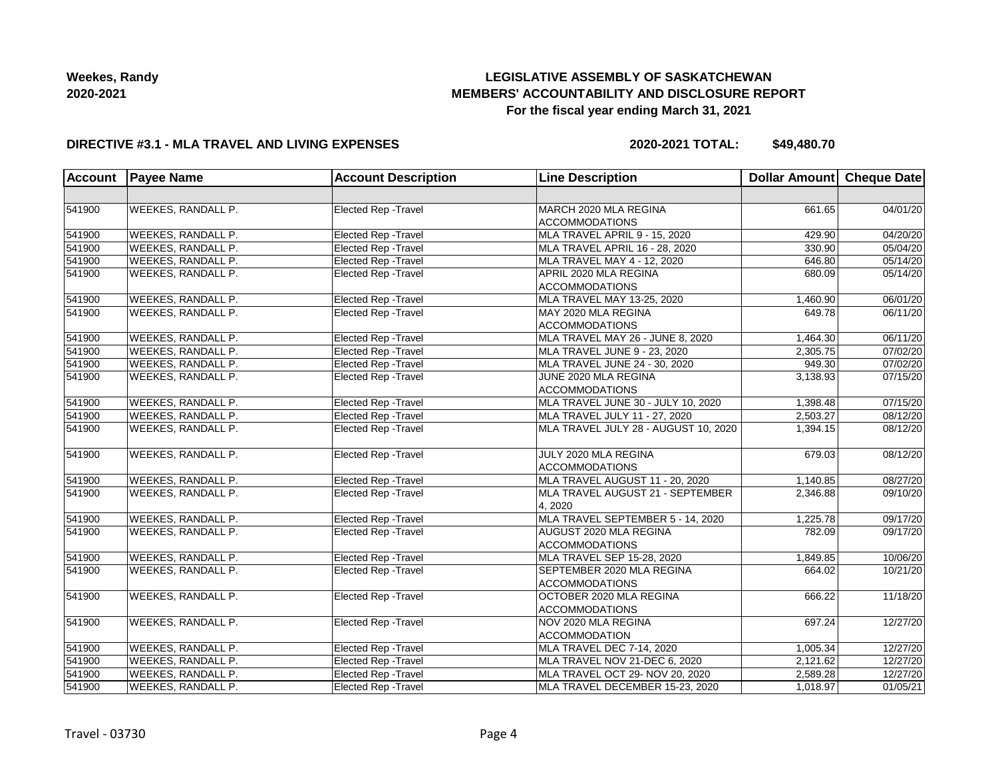# **LEGISLATIVE ASSEMBLY OF SASKATCHEWAN MEMBERS' ACCOUNTABILITY AND DISCLOSURE REPORT For the fiscal year ending March 31, 2021**

#### **DIRECTIVE #3.1 - MLA TRAVEL AND LIVING EXPENSES**

**2020-2021 TOTAL: \$49,480.70**

| <b>Account</b> | <b>Payee Name</b>         | <b>Account Description</b>  | <b>Line Description</b>                            | Dollar Amount Cheque Date |                       |
|----------------|---------------------------|-----------------------------|----------------------------------------------------|---------------------------|-----------------------|
|                |                           |                             |                                                    |                           |                       |
| 541900         | WEEKES, RANDALL P.        | Elected Rep - Travel        | MARCH 2020 MLA REGINA                              | 661.65                    | 04/01/20              |
|                |                           |                             | <b>ACCOMMODATIONS</b>                              |                           |                       |
| 541900         | WEEKES, RANDALL P.        | <b>Elected Rep - Travel</b> | MLA TRAVEL APRIL 9 - 15, 2020                      | 429.90                    | 04/20/20              |
| 541900         | <b>WEEKES, RANDALL P.</b> | <b>Elected Rep - Travel</b> | MLA TRAVEL APRIL 16 - 28, 2020                     | 330.90                    | 05/04/20              |
| 541900         | <b>WEEKES, RANDALL P.</b> | <b>Elected Rep - Travel</b> | MLA TRAVEL MAY 4 - 12, 2020                        | 646.80                    | 05/14/20              |
| 541900         | WEEKES, RANDALL P.        | Elected Rep - Travel        | APRIL 2020 MLA REGINA<br><b>ACCOMMODATIONS</b>     | 680.09                    | 05/14/20              |
| 541900         | WEEKES, RANDALL P.        | Elected Rep - Travel        | MLA TRAVEL MAY 13-25, 2020                         | 1,460.90                  | 06/01/20              |
| 541900         | <b>WEEKES, RANDALL P.</b> | <b>Elected Rep - Travel</b> | MAY 2020 MLA REGINA<br><b>ACCOMMODATIONS</b>       | 649.78                    | 06/11/20              |
| 541900         | <b>WEEKES, RANDALL P.</b> | Elected Rep - Travel        | MLA TRAVEL MAY 26 - JUNE 8, 2020                   | 1,464.30                  | 06/11/20              |
| 541900         | WEEKES, RANDALL P.        | Elected Rep - Travel        | MLA TRAVEL JUNE 9 - 23, 2020                       | 2,305.75                  | $\overline{07/02/20}$ |
| 541900         | WEEKES, RANDALL P.        | Elected Rep - Travel        | MLA TRAVEL JUNE 24 - 30, 2020                      | 949.30                    | 07/02/20              |
| 541900         | <b>WEEKES, RANDALL P.</b> | <b>Elected Rep - Travel</b> | JUNE 2020 MLA REGINA                               | 3,138.93                  | 07/15/20              |
|                |                           |                             | <b>ACCOMMODATIONS</b>                              |                           |                       |
| 541900         | <b>WEEKES, RANDALL P.</b> | Elected Rep - Travel        | MLA TRAVEL JUNE 30 - JULY 10, 2020                 | 1,398.48                  | 07/15/20              |
| 541900         | <b>WEEKES, RANDALL P.</b> | <b>Elected Rep - Travel</b> | MLA TRAVEL JULY 11 - 27, 2020                      | 2,503.27                  | 08/12/20              |
| 541900         | WEEKES, RANDALL P.        | <b>Elected Rep - Travel</b> | MLA TRAVEL JULY 28 - AUGUST 10, 2020               | 1,394.15                  | 08/12/20              |
| 541900         | WEEKES, RANDALL P.        | <b>Elected Rep - Travel</b> | JULY 2020 MLA REGINA<br><b>ACCOMMODATIONS</b>      | 679.03                    | 08/12/20              |
| 541900         | WEEKES, RANDALL P.        | Elected Rep - Travel        | MLA TRAVEL AUGUST 11 - 20, 2020                    | 1,140.85                  | 08/27/20              |
| 541900         | <b>WEEKES, RANDALL P.</b> | Elected Rep - Travel        | MLA TRAVEL AUGUST 21 - SEPTEMBER                   | 2,346.88                  | 09/10/20              |
|                |                           |                             | 4, 2020                                            |                           |                       |
| 541900         | WEEKES, RANDALL P.        | <b>Elected Rep - Travel</b> | MLA TRAVEL SEPTEMBER 5 - 14, 2020                  | 1,225.78                  | 09/17/20              |
| 541900         | <b>WEEKES, RANDALL P.</b> | Elected Rep - Travel        | AUGUST 2020 MLA REGINA<br><b>ACCOMMODATIONS</b>    | 782.09                    | 09/17/20              |
| 541900         | <b>WEEKES, RANDALL P.</b> | Elected Rep - Travel        | MLA TRAVEL SEP 15-28, 2020                         | 1,849.85                  | 10/06/20              |
| 541900         | <b>WEEKES, RANDALL P.</b> | <b>Elected Rep - Travel</b> | SEPTEMBER 2020 MLA REGINA<br><b>ACCOMMODATIONS</b> | 664.02                    | 10/21/20              |
| 541900         | WEEKES, RANDALL P.        | Elected Rep - Travel        | OCTOBER 2020 MLA REGINA<br><b>ACCOMMODATIONS</b>   | 666.22                    | 11/18/20              |
| 541900         | <b>WEEKES, RANDALL P.</b> | <b>Elected Rep - Travel</b> | NOV 2020 MLA REGINA<br><b>ACCOMMODATION</b>        | 697.24                    | 12/27/20              |
| 541900         | <b>WEEKES, RANDALL P.</b> | <b>Elected Rep - Travel</b> | MLA TRAVEL DEC 7-14, 2020                          | 1,005.34                  | 12/27/20              |
| 541900         | WEEKES, RANDALL P.        | <b>Elected Rep - Travel</b> | MLA TRAVEL NOV 21-DEC 6, 2020                      | 2,121.62                  | 12/27/20              |
| 541900         | WEEKES, RANDALL P.        | Elected Rep - Travel        | MLA TRAVEL OCT 29- NOV 20, 2020                    | 2,589.28                  | 12/27/20              |
| 541900         | WEEKES, RANDALL P.        | Elected Rep - Travel        | MLA TRAVEL DECEMBER 15-23, 2020                    | 1,018.97                  | 01/05/21              |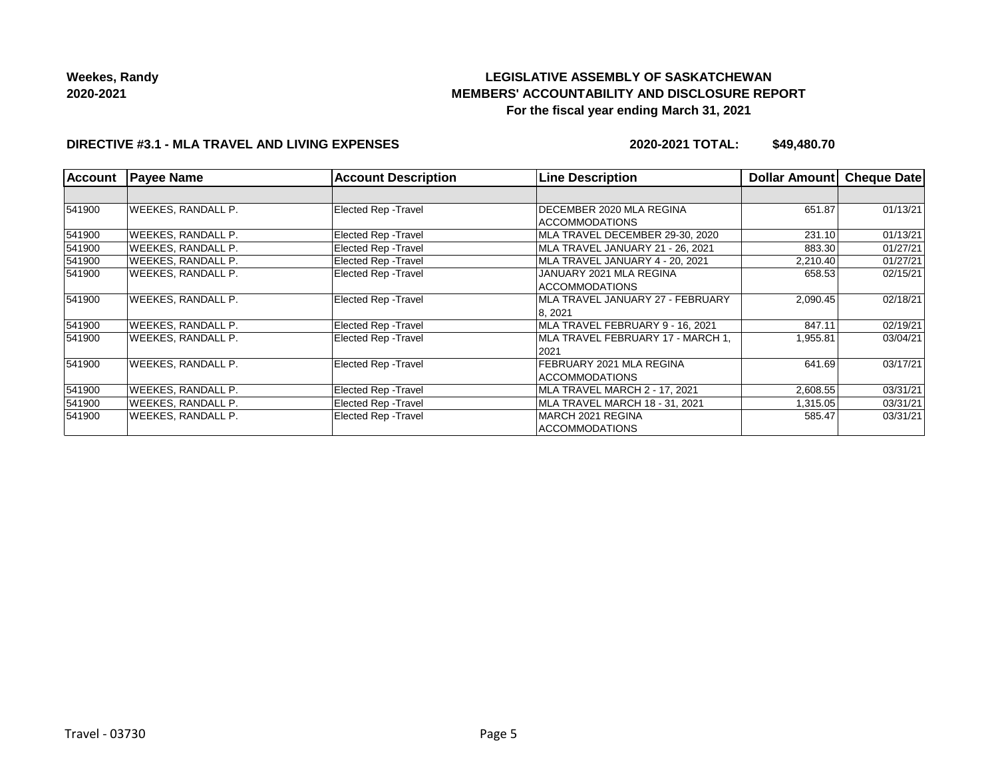# **LEGISLATIVE ASSEMBLY OF SASKATCHEWAN MEMBERS' ACCOUNTABILITY AND DISCLOSURE REPORT For the fiscal year ending March 31, 2021**

#### **DIRECTIVE #3.1 - MLA TRAVEL AND LIVING EXPENSES**

**2020-2021 TOTAL: \$49,480.70**

| <b>Account</b> | <b>Payee Name</b>         | <b>Account Description</b>  | <b>Line Description</b>                           | Dollar Amount | Cheque Date |
|----------------|---------------------------|-----------------------------|---------------------------------------------------|---------------|-------------|
|                |                           |                             |                                                   |               |             |
| 541900         | <b>WEEKES, RANDALL P.</b> | <b>Elected Rep - Travel</b> | DECEMBER 2020 MLA REGINA<br><b>ACCOMMODATIONS</b> | 651.87        | 01/13/21    |
| 541900         | <b>WEEKES, RANDALL P.</b> | Elected Rep - Travel        | MLA TRAVEL DECEMBER 29-30, 2020                   | 231.10        | 01/13/21    |
| 541900         | <b>WEEKES, RANDALL P.</b> | Elected Rep - Travel        | MLA TRAVEL JANUARY 21 - 26, 2021                  | 883.30        | 01/27/21    |
| 541900         | WEEKES, RANDALL P.        | <b>Elected Rep - Travel</b> | MLA TRAVEL JANUARY 4 - 20, 2021                   | 2,210.40      | 01/27/21    |
| 541900         | <b>WEEKES, RANDALL P.</b> | Elected Rep - Travel        | JANUARY 2021 MLA REGINA<br>ACCOMMODATIONS         | 658.53        | 02/15/21    |
| 541900         | <b>WEEKES, RANDALL P.</b> | Elected Rep - Travel        | IMLA TRAVEL JANUARY 27 - FEBRUARY<br>8, 2021      | 2,090.45      | 02/18/21    |
| 541900         | <b>WEEKES, RANDALL P.</b> | Elected Rep - Travel        | MLA TRAVEL FEBRUARY 9 - 16, 2021                  | 847.11        | 02/19/21    |
| 541900         | <b>WEEKES, RANDALL P.</b> | Elected Rep - Travel        | MLA TRAVEL FEBRUARY 17 - MARCH 1.<br>2021         | 1,955.81      | 03/04/21    |
| 541900         | <b>WEEKES, RANDALL P.</b> | Elected Rep - Travel        | FEBRUARY 2021 MLA REGINA<br> ACCOMMODATIONS       | 641.69        | 03/17/21    |
| 541900         | <b>WEEKES, RANDALL P.</b> | Elected Rep - Travel        | MLA TRAVEL MARCH 2 - 17, 2021                     | 2,608.55      | 03/31/21    |
| 541900         | <b>WEEKES, RANDALL P.</b> | Elected Rep - Travel        | MLA TRAVEL MARCH 18 - 31, 2021                    | 1,315.05      | 03/31/21    |
| 541900         | <b>WEEKES, RANDALL P.</b> | Elected Rep - Travel        | MARCH 2021 REGINA<br>ACCOMMODATIONS               | 585.47        | 03/31/21    |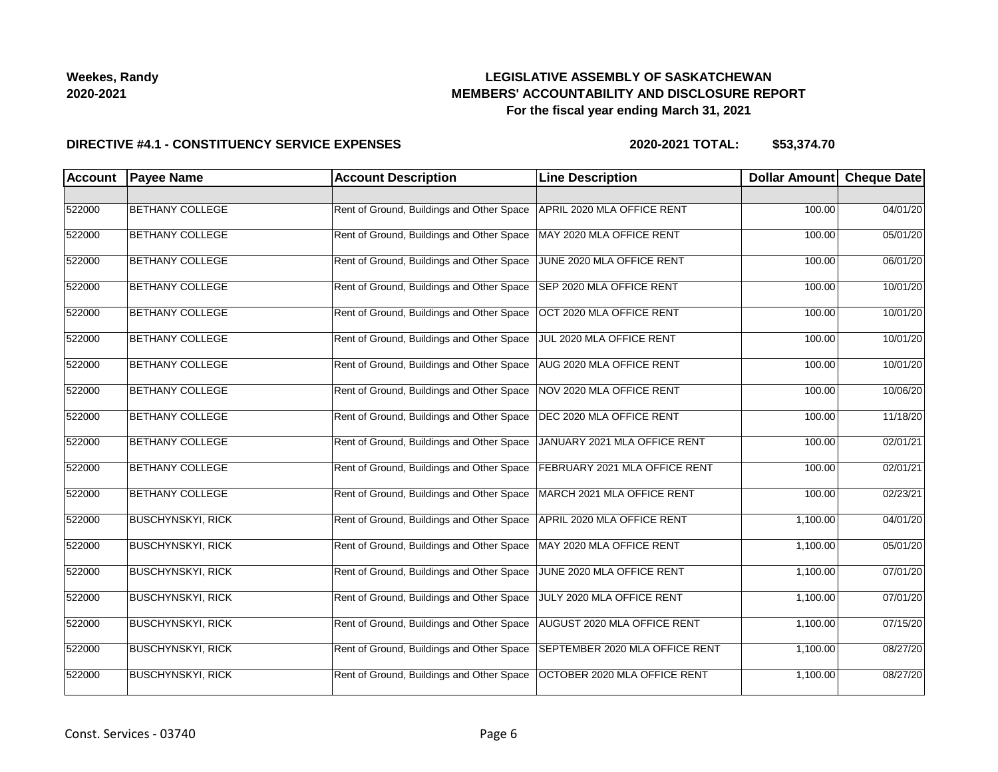## **LEGISLATIVE ASSEMBLY OF SASKATCHEWAN MEMBERS' ACCOUNTABILITY AND DISCLOSURE REPORT For the fiscal year ending March 31, 2021**

#### **DIRECTIVE #4.1 - CONSTITUENCY SERVICE EXPENSES**

| <b>Account</b> | <b>Payee Name</b>        | <b>Account Description</b>                | <b>Line Description</b>        | <b>Dollar Amount</b> | <b>Cheque Date</b> |
|----------------|--------------------------|-------------------------------------------|--------------------------------|----------------------|--------------------|
|                |                          |                                           |                                |                      |                    |
| 522000         | <b>BETHANY COLLEGE</b>   | Rent of Ground, Buildings and Other Space | APRIL 2020 MLA OFFICE RENT     | 100.00               | 04/01/20           |
| 522000         | <b>BETHANY COLLEGE</b>   | Rent of Ground, Buildings and Other Space | MAY 2020 MLA OFFICE RENT       | 100.00               | 05/01/20           |
| 522000         | <b>BETHANY COLLEGE</b>   | Rent of Ground, Buildings and Other Space | JUNE 2020 MLA OFFICE RENT      | 100.00               | 06/01/20           |
| 522000         | <b>BETHANY COLLEGE</b>   | Rent of Ground, Buildings and Other Space | SEP 2020 MLA OFFICE RENT       | 100.00               | 10/01/20           |
| 522000         | <b>BETHANY COLLEGE</b>   | Rent of Ground, Buildings and Other Space | OCT 2020 MLA OFFICE RENT       | 100.00               | 10/01/20           |
| 522000         | <b>BETHANY COLLEGE</b>   | Rent of Ground, Buildings and Other Space | JUL 2020 MLA OFFICE RENT       | 100.00               | 10/01/20           |
| 522000         | <b>BETHANY COLLEGE</b>   | Rent of Ground, Buildings and Other Space | AUG 2020 MLA OFFICE RENT       | 100.00               | 10/01/20           |
| 522000         | <b>BETHANY COLLEGE</b>   | Rent of Ground, Buildings and Other Space | NOV 2020 MLA OFFICE RENT       | 100.00               | 10/06/20           |
| 522000         | <b>BETHANY COLLEGE</b>   | Rent of Ground, Buildings and Other Space | DEC 2020 MLA OFFICE RENT       | 100.00               | 11/18/20           |
| 522000         | <b>BETHANY COLLEGE</b>   | Rent of Ground, Buildings and Other Space | JANUARY 2021 MLA OFFICE RENT   | 100.00               | 02/01/21           |
| 522000         | <b>BETHANY COLLEGE</b>   | Rent of Ground, Buildings and Other Space | FEBRUARY 2021 MLA OFFICE RENT  | 100.00               | 02/01/21           |
| 522000         | <b>BETHANY COLLEGE</b>   | Rent of Ground, Buildings and Other Space | MARCH 2021 MLA OFFICE RENT     | 100.00               | 02/23/21           |
| 522000         | <b>BUSCHYNSKYI, RICK</b> | Rent of Ground, Buildings and Other Space | APRIL 2020 MLA OFFICE RENT     | 1,100.00             | 04/01/20           |
| 522000         | <b>BUSCHYNSKYI, RICK</b> | Rent of Ground, Buildings and Other Space | MAY 2020 MLA OFFICE RENT       | 1,100.00             | 05/01/20           |
| 522000         | <b>BUSCHYNSKYI, RICK</b> | Rent of Ground, Buildings and Other Space | JUNE 2020 MLA OFFICE RENT      | 1,100.00             | 07/01/20           |
| 522000         | <b>BUSCHYNSKYI, RICK</b> | Rent of Ground, Buildings and Other Space | JULY 2020 MLA OFFICE RENT      | 1,100.00             | 07/01/20           |
| 522000         | <b>BUSCHYNSKYI, RICK</b> | Rent of Ground, Buildings and Other Space | AUGUST 2020 MLA OFFICE RENT    | 1,100.00             | 07/15/20           |
| 522000         | <b>BUSCHYNSKYI, RICK</b> | Rent of Ground, Buildings and Other Space | SEPTEMBER 2020 MLA OFFICE RENT | 1,100.00             | 08/27/20           |
| 522000         | <b>BUSCHYNSKYI, RICK</b> | Rent of Ground, Buildings and Other Space | OCTOBER 2020 MLA OFFICE RENT   | 1,100.00             | 08/27/20           |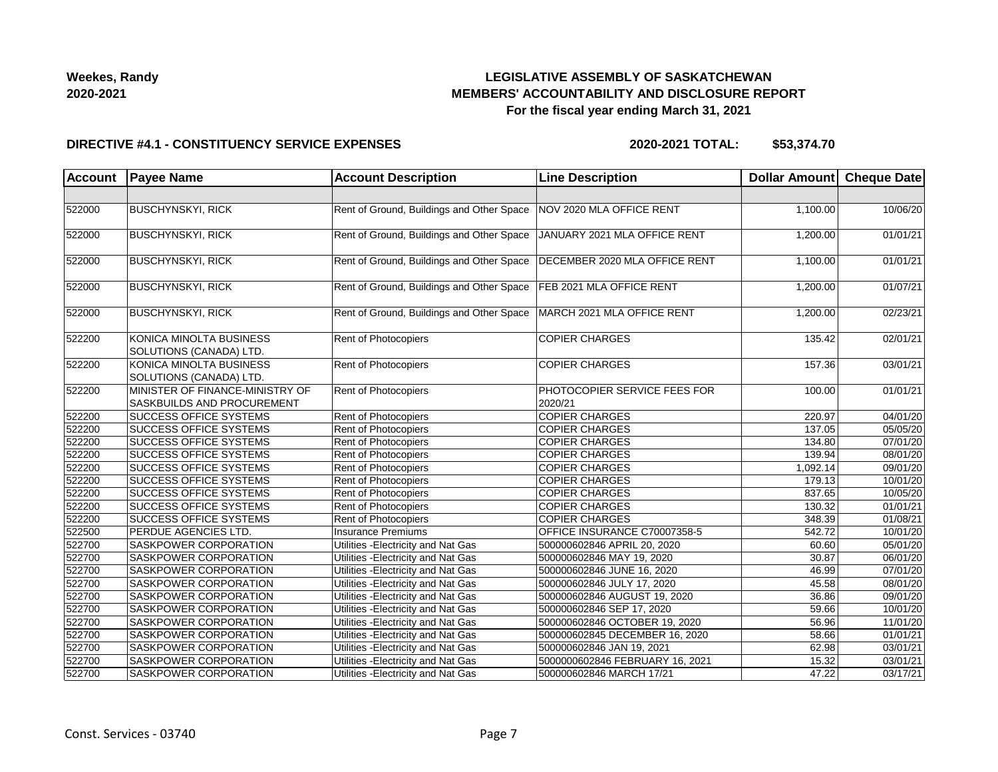## **LEGISLATIVE ASSEMBLY OF SASKATCHEWAN MEMBERS' ACCOUNTABILITY AND DISCLOSURE REPORT For the fiscal year ending March 31, 2021**

#### **DIRECTIVE #4.1 - CONSTITUENCY SERVICE EXPENSES**

| <b>Account</b> | <b>Payee Name</b>                                             | <b>Account Description</b>                | <b>Line Description</b>                 | Dollar Amount Cheque Date |          |
|----------------|---------------------------------------------------------------|-------------------------------------------|-----------------------------------------|---------------------------|----------|
|                |                                                               |                                           |                                         |                           |          |
| 522000         | <b>BUSCHYNSKYI, RICK</b>                                      | Rent of Ground, Buildings and Other Space | NOV 2020 MLA OFFICE RENT                | 1,100.00                  | 10/06/20 |
| 522000         | <b>BUSCHYNSKYI, RICK</b>                                      | Rent of Ground, Buildings and Other Space | JANUARY 2021 MLA OFFICE RENT            | 1,200.00                  | 01/01/21 |
| 522000         | <b>BUSCHYNSKYI, RICK</b>                                      | Rent of Ground, Buildings and Other Space | DECEMBER 2020 MLA OFFICE RENT           | 1,100.00                  | 01/01/21 |
| 522000         | <b>BUSCHYNSKYI, RICK</b>                                      | Rent of Ground, Buildings and Other Space | FEB 2021 MLA OFFICE RENT                | 1,200.00                  | 01/07/21 |
| 522000         | <b>BUSCHYNSKYI, RICK</b>                                      | Rent of Ground, Buildings and Other Space | MARCH 2021 MLA OFFICE RENT              | 1,200.00                  | 02/23/21 |
| 522200         | KONICA MINOLTA BUSINESS<br>SOLUTIONS (CANADA) LTD.            | Rent of Photocopiers                      | <b>COPIER CHARGES</b>                   | 135.42                    | 02/01/21 |
| 522200         | KONICA MINOLTA BUSINESS<br>SOLUTIONS (CANADA) LTD.            | Rent of Photocopiers                      | <b>COPIER CHARGES</b>                   | 157.36                    | 03/01/21 |
| 522200         | MINISTER OF FINANCE-MINISTRY OF<br>SASKBUILDS AND PROCUREMENT | Rent of Photocopiers                      | PHOTOCOPIER SERVICE FEES FOR<br>2020/21 | 100.00                    | 01/01/21 |
| 522200         | <b>SUCCESS OFFICE SYSTEMS</b>                                 | Rent of Photocopiers                      | <b>COPIER CHARGES</b>                   | 220.97                    | 04/01/20 |
| 522200         | <b>SUCCESS OFFICE SYSTEMS</b>                                 | <b>Rent of Photocopiers</b>               | <b>COPIER CHARGES</b>                   | 137.05                    | 05/05/20 |
| 522200         | <b>SUCCESS OFFICE SYSTEMS</b>                                 | <b>Rent of Photocopiers</b>               | <b>COPIER CHARGES</b>                   | 134.80                    | 07/01/20 |
| 522200         | <b>SUCCESS OFFICE SYSTEMS</b>                                 | <b>Rent of Photocopiers</b>               | <b>COPIER CHARGES</b>                   | 139.94                    | 08/01/20 |
| 522200         | SUCCESS OFFICE SYSTEMS                                        | Rent of Photocopiers                      | <b>COPIER CHARGES</b>                   | 1,092.14                  | 09/01/20 |
| 522200         | <b>SUCCESS OFFICE SYSTEMS</b>                                 | Rent of Photocopiers                      | <b>COPIER CHARGES</b>                   | 179.13                    | 10/01/20 |
| 522200         | <b>SUCCESS OFFICE SYSTEMS</b>                                 | Rent of Photocopiers                      | <b>COPIER CHARGES</b>                   | 837.65                    | 10/05/20 |
| 522200         | <b>SUCCESS OFFICE SYSTEMS</b>                                 | Rent of Photocopiers                      | <b>COPIER CHARGES</b>                   | 130.32                    | 01/01/21 |
| 522200         | <b>SUCCESS OFFICE SYSTEMS</b>                                 | Rent of Photocopiers                      | <b>COPIER CHARGES</b>                   | 348.39                    | 01/08/21 |
| 522500         | PERDUE AGENCIES LTD.                                          | <b>Insurance Premiums</b>                 | OFFICE INSURANCE C70007358-5            | 542.72                    | 10/01/20 |
| 522700         | <b>SASKPOWER CORPORATION</b>                                  | Utilities - Electricity and Nat Gas       | 500000602846 APRIL 20, 2020             | 60.60                     | 05/01/20 |
| 522700         | SASKPOWER CORPORATION                                         | Utilities - Electricity and Nat Gas       | 500000602846 MAY 19, 2020               | 30.87                     | 06/01/20 |
| 522700         | SASKPOWER CORPORATION                                         | Utilities - Electricity and Nat Gas       | 500000602846 JUNE 16, 2020              | 46.99                     | 07/01/20 |
| 522700         | <b>SASKPOWER CORPORATION</b>                                  | Utilities - Electricity and Nat Gas       | 500000602846 JULY 17, 2020              | 45.58                     | 08/01/20 |
| 522700         | <b>SASKPOWER CORPORATION</b>                                  | Utilities - Electricity and Nat Gas       | 500000602846 AUGUST 19, 2020            | 36.86                     | 09/01/20 |
| 522700         | <b>SASKPOWER CORPORATION</b>                                  | Utilities - Electricity and Nat Gas       | 500000602846 SEP 17, 2020               | 59.66                     | 10/01/20 |
| 522700         | SASKPOWER CORPORATION                                         | Utilities - Electricity and Nat Gas       | 500000602846 OCTOBER 19, 2020           | 56.96                     | 11/01/20 |
| 522700         | SASKPOWER CORPORATION                                         | Utilities - Electricity and Nat Gas       | 500000602845 DECEMBER 16, 2020          | 58.66                     | 01/01/21 |
| 522700         | SASKPOWER CORPORATION                                         | Utilities - Electricity and Nat Gas       | 500000602846 JAN 19, 2021               | 62.98                     | 03/01/21 |
| 522700         | SASKPOWER CORPORATION                                         | Utilities - Electricity and Nat Gas       | 5000000602846 FEBRUARY 16, 2021         | 15.32                     | 03/01/21 |
| 522700         | SASKPOWER CORPORATION                                         | Utilities - Electricity and Nat Gas       | 500000602846 MARCH 17/21                | 47.22                     | 03/17/21 |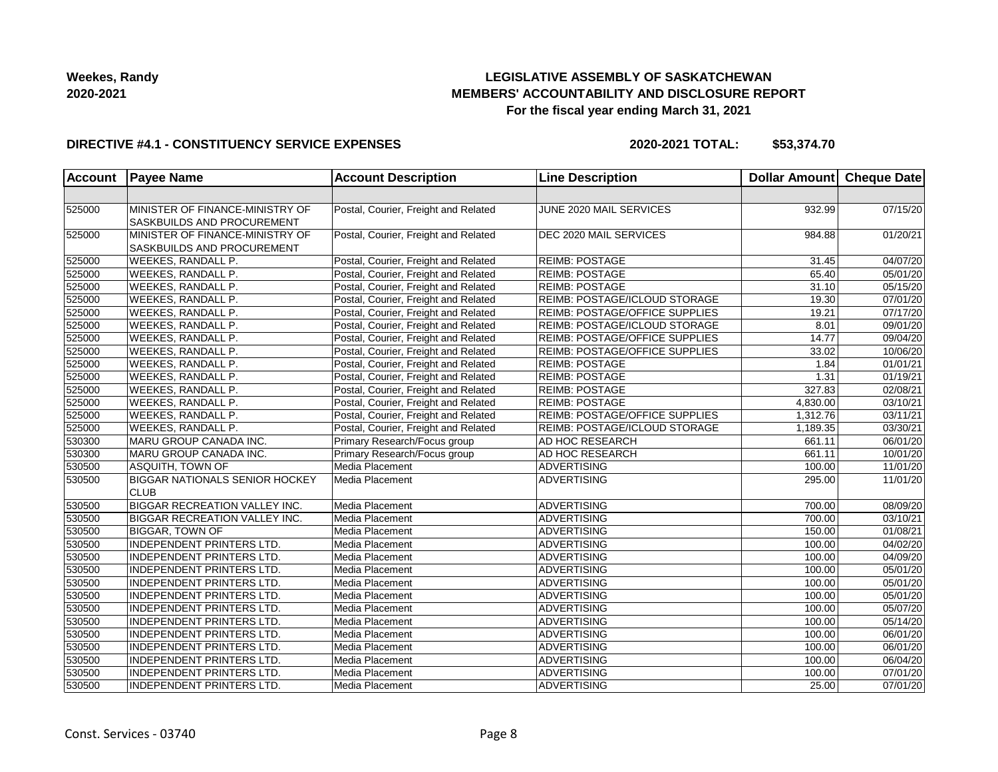## **LEGISLATIVE ASSEMBLY OF SASKATCHEWAN MEMBERS' ACCOUNTABILITY AND DISCLOSURE REPORT For the fiscal year ending March 31, 2021**

#### **DIRECTIVE #4.1 - CONSTITUENCY SERVICE EXPENSES**

| <b>Account</b> | <b>Payee Name</b>                                             | <b>Account Description</b>           | <b>Line Description</b>               | <b>Dollar Amount</b> | Cheque Date |
|----------------|---------------------------------------------------------------|--------------------------------------|---------------------------------------|----------------------|-------------|
|                |                                                               |                                      |                                       |                      |             |
| 525000         | MINISTER OF FINANCE-MINISTRY OF<br>SASKBUILDS AND PROCUREMENT | Postal, Courier, Freight and Related | JUNE 2020 MAIL SERVICES               | 932.99               | 07/15/20    |
| 525000         | MINISTER OF FINANCE-MINISTRY OF<br>SASKBUILDS AND PROCUREMENT | Postal, Courier, Freight and Related | DEC 2020 MAIL SERVICES                | 984.88               | 01/20/21    |
| 525000         | <b>WEEKES, RANDALL P.</b>                                     | Postal, Courier, Freight and Related | <b>REIMB: POSTAGE</b>                 | 31.45                | 04/07/20    |
| 525000         | WEEKES, RANDALL P.                                            | Postal, Courier, Freight and Related | <b>REIMB: POSTAGE</b>                 | 65.40                | 05/01/20    |
| 525000         | WEEKES, RANDALL P.                                            | Postal, Courier, Freight and Related | <b>REIMB: POSTAGE</b>                 | 31.10                | 05/15/20    |
| 525000         | WEEKES, RANDALL P.                                            | Postal, Courier, Freight and Related | REIMB: POSTAGE/ICLOUD STORAGE         | 19.30                | 07/01/20    |
| 525000         | WEEKES, RANDALL P.                                            | Postal, Courier, Freight and Related | <b>REIMB: POSTAGE/OFFICE SUPPLIES</b> | 19.21                | 07/17/20    |
| 525000         | WEEKES, RANDALL P.                                            | Postal, Courier, Freight and Related | REIMB: POSTAGE/ICLOUD STORAGE         | 8.01                 | 09/01/20    |
| 525000         | WEEKES, RANDALL P.                                            | Postal, Courier, Freight and Related | REIMB: POSTAGE/OFFICE SUPPLIES        | 14.77                | 09/04/20    |
| 525000         | WEEKES, RANDALL P.                                            | Postal, Courier, Freight and Related | REIMB: POSTAGE/OFFICE SUPPLIES        | 33.02                | 10/06/20    |
| 525000         | WEEKES, RANDALL P.                                            | Postal, Courier, Freight and Related | <b>REIMB: POSTAGE</b>                 | 1.84                 | 01/01/21    |
| 525000         | WEEKES, RANDALL P.                                            | Postal, Courier, Freight and Related | <b>REIMB: POSTAGE</b>                 | 1.31                 | 01/19/21    |
| 525000         | WEEKES, RANDALL P.                                            | Postal, Courier, Freight and Related | <b>REIMB: POSTAGE</b>                 | 327.83               | 02/08/21    |
| 525000         | WEEKES, RANDALL P.                                            | Postal, Courier, Freight and Related | <b>REIMB: POSTAGE</b>                 | 4,830.00             | 03/10/21    |
| 525000         | WEEKES, RANDALL P.                                            | Postal, Courier, Freight and Related | REIMB: POSTAGE/OFFICE SUPPLIES        | 1,312.76             | 03/11/21    |
| 525000         | WEEKES, RANDALL P.                                            | Postal, Courier, Freight and Related | REIMB: POSTAGE/ICLOUD STORAGE         | 1,189.35             | 03/30/21    |
| 530300         | MARU GROUP CANADA INC.                                        | Primary Research/Focus group         | AD HOC RESEARCH                       | 661.11               | 06/01/20    |
| 530300         | MARU GROUP CANADA INC.                                        | Primary Research/Focus group         | AD HOC RESEARCH                       | 661.11               | 10/01/20    |
| 530500         | ASQUITH, TOWN OF                                              | Media Placement                      | ADVERTISING                           | 100.00               | 11/01/20    |
| 530500         | <b>BIGGAR NATIONALS SENIOR HOCKEY</b><br><b>CLUB</b>          | Media Placement                      | <b>ADVERTISING</b>                    | 295.00               | 11/01/20    |
| 530500         | <b>BIGGAR RECREATION VALLEY INC.</b>                          | Media Placement                      | <b>ADVERTISING</b>                    | 700.00               | 08/09/20    |
| 530500         | <b>BIGGAR RECREATION VALLEY INC.</b>                          | Media Placement                      | <b>ADVERTISING</b>                    | 700.00               | 03/10/21    |
| 530500         | BIGGAR, TOWN OF                                               | Media Placement                      | ADVERTISING                           | 150.00               | 01/08/21    |
| 530500         | INDEPENDENT PRINTERS LTD.                                     | Media Placement                      | ADVERTISING                           | 100.00               | 04/02/20    |
| 530500         | INDEPENDENT PRINTERS LTD.                                     | Media Placement                      | ADVERTISING                           | 100.00               | 04/09/20    |
| 530500         | <b>INDEPENDENT PRINTERS LTD.</b>                              | Media Placement                      | <b>ADVERTISING</b>                    | 100.00               | 05/01/20    |
| 530500         | INDEPENDENT PRINTERS LTD.                                     | Media Placement                      | <b>ADVERTISING</b>                    | 100.00               | 05/01/20    |
| 530500         | <b>INDEPENDENT PRINTERS LTD.</b>                              | Media Placement                      | <b>ADVERTISING</b>                    | 100.00               | 05/01/20    |
| 530500         | <b>INDEPENDENT PRINTERS LTD.</b>                              | Media Placement                      | ADVERTISING                           | 100.00               | 05/07/20    |
| 530500         | INDEPENDENT PRINTERS LTD.                                     | Media Placement                      | ADVERTISING                           | 100.00               | 05/14/20    |
| 530500         | INDEPENDENT PRINTERS LTD.                                     | Media Placement                      | <b>ADVERTISING</b>                    | 100.00               | 06/01/20    |
| 530500         | <b>INDEPENDENT PRINTERS LTD.</b>                              | Media Placement                      | <b>ADVERTISING</b>                    | 100.00               | 06/01/20    |
| 530500         | <b>INDEPENDENT PRINTERS LTD.</b>                              | Media Placement                      | <b>ADVERTISING</b>                    | 100.00               | 06/04/20    |
| 530500         | INDEPENDENT PRINTERS LTD.                                     | Media Placement                      | <b>ADVERTISING</b>                    | 100.00               | 07/01/20    |
| 530500         | <b>INDEPENDENT PRINTERS LTD.</b>                              | Media Placement                      | ADVERTISING                           | 25.00                | 07/01/20    |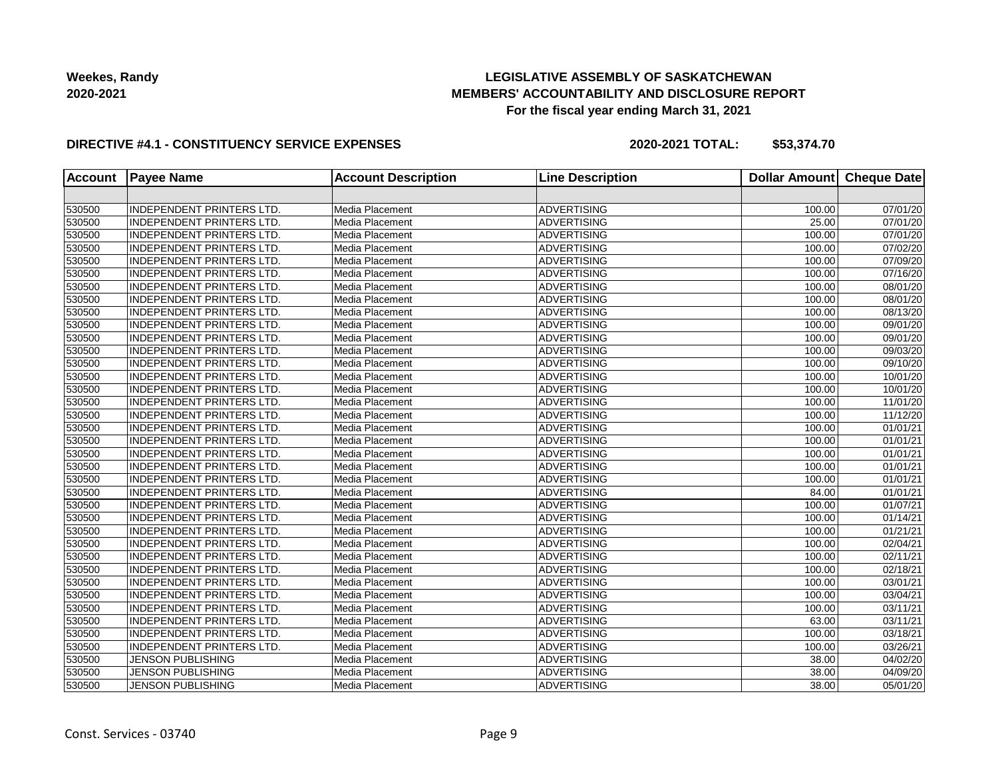## **LEGISLATIVE ASSEMBLY OF SASKATCHEWAN MEMBERS' ACCOUNTABILITY AND DISCLOSURE REPORT For the fiscal year ending March 31, 2021**

#### **DIRECTIVE #4.1 - CONSTITUENCY SERVICE EXPENSES**

| <b>Account</b> | <b>Payee Name</b>                | <b>Account Description</b> | <b>Line Description</b> | <b>Dollar Amount</b> | <b>Cheque Date</b> |
|----------------|----------------------------------|----------------------------|-------------------------|----------------------|--------------------|
|                |                                  |                            |                         |                      |                    |
| 530500         | INDEPENDENT PRINTERS LTD.        | Media Placement            | ADVERTISING             | 100.00               | 07/01/20           |
| 530500         | <b>INDEPENDENT PRINTERS LTD.</b> | Media Placement            | <b>ADVERTISING</b>      | 25.00                | 07/01/20           |
| 530500         | <b>INDEPENDENT PRINTERS LTD.</b> | Media Placement            | <b>ADVERTISING</b>      | 100.00               | 07/01/20           |
| 530500         | <b>INDEPENDENT PRINTERS LTD.</b> | Media Placement            | ADVERTISING             | 100.00               | 07/02/20           |
| 530500         | <b>INDEPENDENT PRINTERS LTD.</b> | Media Placement            | <b>ADVERTISING</b>      | 100.00               | 07/09/20           |
| 530500         | <b>INDEPENDENT PRINTERS LTD.</b> | Media Placement            | <b>ADVERTISING</b>      | 100.00               | 07/16/20           |
| 530500         | <b>INDEPENDENT PRINTERS LTD.</b> | Media Placement            | <b>ADVERTISING</b>      | 100.00               | 08/01/20           |
| 530500         | <b>INDEPENDENT PRINTERS LTD.</b> | Media Placement            | <b>ADVERTISING</b>      | 100.00               | 08/01/20           |
| 530500         | <b>INDEPENDENT PRINTERS LTD.</b> | Media Placement            | ADVERTISING             | 100.00               | 08/13/20           |
| 530500         | <b>INDEPENDENT PRINTERS LTD.</b> | Media Placement            | ADVERTISING             | 100.00               | 09/01/20           |
| 530500         | <b>INDEPENDENT PRINTERS LTD.</b> | Media Placement            | <b>ADVERTISING</b>      | 100.00               | 09/01/20           |
| 530500         | INDEPENDENT PRINTERS LTD.        | Media Placement            | <b>ADVERTISING</b>      | 100.00               | 09/03/20           |
| 530500         | INDEPENDENT PRINTERS LTD.        | Media Placement            | <b>ADVERTISING</b>      | 100.00               | 09/10/20           |
| 530500         | <b>INDEPENDENT PRINTERS LTD.</b> | Media Placement            | <b>ADVERTISING</b>      | 100.00               | 10/01/20           |
| 530500         | INDEPENDENT PRINTERS LTD.        | Media Placement            | ADVERTISING             | 100.00               | 10/01/20           |
| 530500         | INDEPENDENT PRINTERS LTD.        | Media Placement            | ADVERTISING             | 100.00               | 11/01/20           |
| 530500         | INDEPENDENT PRINTERS LTD.        | Media Placement            | <b>ADVERTISING</b>      | 100.00               | 11/12/20           |
| 530500         | INDEPENDENT PRINTERS LTD.        | Media Placement            | <b>ADVERTISING</b>      | 100.00               | 01/01/21           |
| 530500         | <b>INDEPENDENT PRINTERS LTD.</b> | Media Placement            | <b>ADVERTISING</b>      | 100.00               | 01/01/21           |
| 530500         | <b>INDEPENDENT PRINTERS LTD.</b> | Media Placement            | <b>ADVERTISING</b>      | 100.00               | 01/01/21           |
| 530500         | INDEPENDENT PRINTERS LTD.        | Media Placement            | ADVERTISING             | 100.00               | 01/01/21           |
| 530500         | <b>INDEPENDENT PRINTERS LTD.</b> | Media Placement            | <b>ADVERTISING</b>      | 100.00               | 01/01/21           |
| 530500         | <b>INDEPENDENT PRINTERS LTD.</b> | Media Placement            | <b>ADVERTISING</b>      | 84.00                | 01/01/21           |
| 530500         | <b>INDEPENDENT PRINTERS LTD.</b> | Media Placement            | <b>ADVERTISING</b>      | 100.00               | 01/07/21           |
| 530500         | INDEPENDENT PRINTERS LTD.        | Media Placement            | <b>ADVERTISING</b>      | 100.00               | 01/14/21           |
| 530500         | <b>INDEPENDENT PRINTERS LTD.</b> | Media Placement            | <b>ADVERTISING</b>      | 100.00               | 01/21/21           |
| 530500         | INDEPENDENT PRINTERS LTD.        | Media Placement            | ADVERTISING             | 100.00               | 02/04/21           |
| 530500         | <b>INDEPENDENT PRINTERS LTD.</b> | Media Placement            | <b>ADVERTISING</b>      | 100.00               | 02/11/21           |
| 530500         | INDEPENDENT PRINTERS LTD.        | Media Placement            | <b>ADVERTISING</b>      | 100.00               | 02/18/21           |
| 530500         | INDEPENDENT PRINTERS LTD.        | Media Placement            | <b>ADVERTISING</b>      | 100.00               | 03/01/21           |
| 530500         | INDEPENDENT PRINTERS LTD.        | Media Placement            | <b>ADVERTISING</b>      | 100.00               | 03/04/21           |
| 530500         | <b>INDEPENDENT PRINTERS LTD.</b> | Media Placement            | ADVERTISING             | 100.00               | 03/11/21           |
| 530500         | <b>INDEPENDENT PRINTERS LTD.</b> | Media Placement            | ADVERTISING             | 63.00                | 03/11/21           |
| 530500         | <b>INDEPENDENT PRINTERS LTD.</b> | Media Placement            | <b>ADVERTISING</b>      | 100.00               | 03/18/21           |
| 530500         | <b>INDEPENDENT PRINTERS LTD.</b> | Media Placement            | <b>ADVERTISING</b>      | 100.00               | 03/26/21           |
| 530500         | <b>JENSON PUBLISHING</b>         | Media Placement            | <b>ADVERTISING</b>      | 38.00                | 04/02/20           |
| 530500         | <b>JENSON PUBLISHING</b>         | Media Placement            | <b>ADVERTISING</b>      | 38.00                | 04/09/20           |
| 530500         | <b>JENSON PUBLISHING</b>         | Media Placement            | <b>ADVERTISING</b>      | 38.00                | 05/01/20           |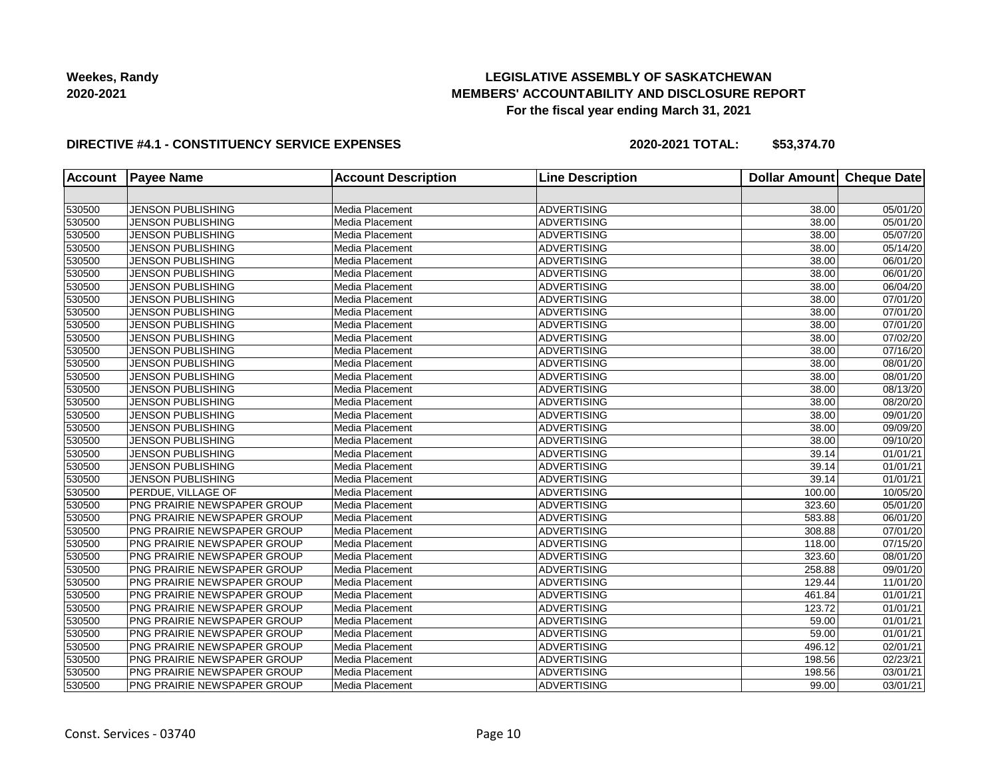## **LEGISLATIVE ASSEMBLY OF SASKATCHEWAN MEMBERS' ACCOUNTABILITY AND DISCLOSURE REPORT For the fiscal year ending March 31, 2021**

#### **DIRECTIVE #4.1 - CONSTITUENCY SERVICE EXPENSES**

| <b>Account</b> | <b>Payee Name</b>           | <b>Account Description</b> | <b>Line Description</b> | <b>Dollar Amount</b> | <b>Cheque Date</b>    |
|----------------|-----------------------------|----------------------------|-------------------------|----------------------|-----------------------|
|                |                             |                            |                         |                      |                       |
| 530500         | <b>JENSON PUBLISHING</b>    | Media Placement            | <b>ADVERTISING</b>      | 38.00                | 05/01/20              |
| 530500         | <b>JENSON PUBLISHING</b>    | Media Placement            | <b>ADVERTISING</b>      | 38.00                | 05/01/20              |
| 530500         | <b>JENSON PUBLISHING</b>    | Media Placement            | <b>ADVERTISING</b>      | 38.00                | 05/07/20              |
| 530500         | <b>JENSON PUBLISHING</b>    | Media Placement            | <b>ADVERTISING</b>      | 38.00                | 05/14/20              |
| 530500         | JENSON PUBLISHING           | Media Placement            | <b>ADVERTISING</b>      | 38.00                | 06/01/20              |
| 530500         | <b>JENSON PUBLISHING</b>    | Media Placement            | <b>ADVERTISING</b>      | 38.00                | 06/01/20              |
| 530500         | <b>JENSON PUBLISHING</b>    | Media Placement            | <b>ADVERTISING</b>      | 38.00                | 06/04/20              |
| 530500         | <b>JENSON PUBLISHING</b>    | Media Placement            | <b>ADVERTISING</b>      | 38.00                | 07/01/20              |
| 530500         | <b>JENSON PUBLISHING</b>    | Media Placement            | <b>ADVERTISING</b>      | 38.00                | $\overline{07/0}1/20$ |
| 530500         | <b>JENSON PUBLISHING</b>    | Media Placement            | <b>ADVERTISING</b>      | 38.00                | 07/01/20              |
| 530500         | <b>JENSON PUBLISHING</b>    | Media Placement            | <b>ADVERTISING</b>      | 38.00                | 07/02/20              |
| 530500         | <b>JENSON PUBLISHING</b>    | Media Placement            | <b>ADVERTISING</b>      | 38.00                | 07/16/20              |
| 530500         | <b>JENSON PUBLISHING</b>    | Media Placement            | <b>ADVERTISING</b>      | 38.00                | 08/01/20              |
| 530500         | <b>JENSON PUBLISHING</b>    | Media Placement            | <b>ADVERTISING</b>      | 38.00                | 08/01/20              |
| 530500         | <b>JENSON PUBLISHING</b>    | Media Placement            | <b>ADVERTISING</b>      | 38.00                | 08/13/20              |
| 530500         | <b>JENSON PUBLISHING</b>    | Media Placement            | <b>ADVERTISING</b>      | 38.00                | 08/20/20              |
| 530500         | <b>JENSON PUBLISHING</b>    | Media Placement            | <b>ADVERTISING</b>      | 38.00                | 09/01/20              |
| 530500         | <b>JENSON PUBLISHING</b>    | Media Placement            | <b>ADVERTISING</b>      | 38.00                | 09/09/20              |
| 530500         | <b>JENSON PUBLISHING</b>    | Media Placement            | <b>ADVERTISING</b>      | 38.00                | 09/10/20              |
| 530500         | <b>JENSON PUBLISHING</b>    | Media Placement            | <b>ADVERTISING</b>      | 39.14                | 01/01/21              |
| 530500         | <b>JENSON PUBLISHING</b>    | Media Placement            | <b>ADVERTISING</b>      | 39.14                | 01/01/21              |
| 530500         | <b>JENSON PUBLISHING</b>    | Media Placement            | <b>ADVERTISING</b>      | 39.14                | 01/01/21              |
| 530500         | PERDUE, VILLAGE OF          | Media Placement            | <b>ADVERTISING</b>      | 100.00               | 10/05/20              |
| 530500         | PNG PRAIRIE NEWSPAPER GROUP | Media Placement            | <b>ADVERTISING</b>      | 323.60               | 05/01/20              |
| 530500         | PNG PRAIRIE NEWSPAPER GROUP | Media Placement            | <b>ADVERTISING</b>      | 583.88               | 06/01/20              |
| 530500         | PNG PRAIRIE NEWSPAPER GROUP | Media Placement            | <b>ADVERTISING</b>      | 308.88               | 07/01/20              |
| 530500         | PNG PRAIRIE NEWSPAPER GROUP | Media Placement            | ADVERTISING             | 118.00               | 07/15/20              |
| 530500         | PNG PRAIRIE NEWSPAPER GROUP | Media Placement            | <b>ADVERTISING</b>      | 323.60               | 08/01/20              |
| 530500         | PNG PRAIRIE NEWSPAPER GROUP | Media Placement            | <b>ADVERTISING</b>      | 258.88               | 09/01/20              |
| 530500         | PNG PRAIRIE NEWSPAPER GROUP | Media Placement            | <b>ADVERTISING</b>      | 129.44               | 11/01/20              |
| 530500         | PNG PRAIRIE NEWSPAPER GROUP | Media Placement            | <b>ADVERTISING</b>      | 461.84               | 01/01/21              |
| 530500         | PNG PRAIRIE NEWSPAPER GROUP | Media Placement            | <b>ADVERTISING</b>      | 123.72               | 01/01/21              |
| 530500         | PNG PRAIRIE NEWSPAPER GROUP | Media Placement            | ADVERTISING             | 59.00                | 01/01/21              |
| 530500         | PNG PRAIRIE NEWSPAPER GROUP | Media Placement            | <b>ADVERTISING</b>      | 59.00                | 01/01/21              |
| 530500         | PNG PRAIRIE NEWSPAPER GROUP | Media Placement            | <b>ADVERTISING</b>      | 496.12               | 02/01/21              |
| 530500         | PNG PRAIRIE NEWSPAPER GROUP | Media Placement            | <b>ADVERTISING</b>      | 198.56               | 02/23/21              |
| 530500         | PNG PRAIRIE NEWSPAPER GROUP | Media Placement            | <b>ADVERTISING</b>      | 198.56               | 03/01/21              |
| 530500         | PNG PRAIRIE NEWSPAPER GROUP | Media Placement            | <b>ADVERTISING</b>      | 99.00                | 03/01/21              |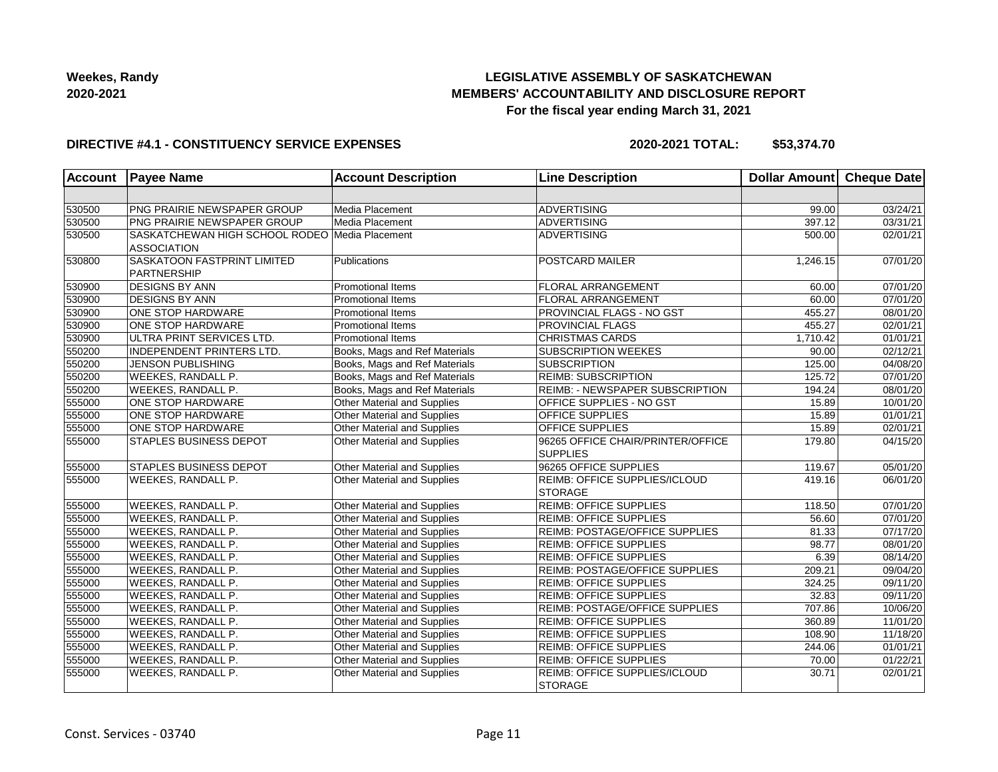## **LEGISLATIVE ASSEMBLY OF SASKATCHEWAN MEMBERS' ACCOUNTABILITY AND DISCLOSURE REPORT For the fiscal year ending March 31, 2021**

#### **DIRECTIVE #4.1 - CONSTITUENCY SERVICE EXPENSES**

| <b>Account</b> | <b>Payee Name</b>                                                    | <b>Account Description</b>         | <b>Line Description</b>                              | Dollar Amount Cheque Date |          |
|----------------|----------------------------------------------------------------------|------------------------------------|------------------------------------------------------|---------------------------|----------|
|                |                                                                      |                                    |                                                      |                           |          |
| 530500         | PNG PRAIRIE NEWSPAPER GROUP                                          | Media Placement                    | <b>ADVERTISING</b>                                   | 99.00                     | 03/24/21 |
| 530500         | PNG PRAIRIE NEWSPAPER GROUP                                          | Media Placement                    | <b>ADVERTISING</b>                                   | 397.12                    | 03/31/21 |
| 530500         | SASKATCHEWAN HIGH SCHOOL RODEO Media Placement<br><b>ASSOCIATION</b> |                                    | <b>ADVERTISING</b>                                   | 500.00                    | 02/01/21 |
| 530800         | <b>SASKATOON FASTPRINT LIMITED</b><br><b>PARTNERSHIP</b>             | Publications                       | POSTCARD MAILER                                      | 1,246.15                  | 07/01/20 |
| 530900         | <b>DESIGNS BY ANN</b>                                                | <b>Promotional Items</b>           | FLORAL ARRANGEMENT                                   | 60.00                     | 07/01/20 |
| 530900         | <b>DESIGNS BY ANN</b>                                                | <b>Promotional Items</b>           | FLORAL ARRANGEMENT                                   | 60.00                     | 07/01/20 |
| 530900         | ONE STOP HARDWARE                                                    | <b>Promotional Items</b>           | <b>PROVINCIAL FLAGS - NO GST</b>                     | 455.27                    | 08/01/20 |
| 530900         | <b>ONE STOP HARDWARE</b>                                             | Promotional Items                  | <b>PROVINCIAL FLAGS</b>                              | 455.27                    | 02/01/21 |
| 530900         | ULTRA PRINT SERVICES LTD.                                            | <b>Promotional Items</b>           | <b>CHRISTMAS CARDS</b>                               | 1,710.42                  | 01/01/21 |
| 550200         | <b>INDEPENDENT PRINTERS LTD.</b>                                     | Books, Mags and Ref Materials      | <b>SUBSCRIPTION WEEKES</b>                           | 90.00                     | 02/12/21 |
| 550200         | <b>JENSON PUBLISHING</b>                                             | Books, Mags and Ref Materials      | <b>SUBSCRIPTION</b>                                  | 125.00                    | 04/08/20 |
| 550200         | <b>WEEKES, RANDALL P.</b>                                            | Books, Mags and Ref Materials      | <b>REIMB: SUBSCRIPTION</b>                           | 125.72                    | 07/01/20 |
| 550200         | <b>WEEKES, RANDALL P.</b>                                            | Books, Mags and Ref Materials      | REIMB: - NEWSPAPER SUBSCRIPTION                      | 194.24                    | 08/01/20 |
| 555000         | <b>ONE STOP HARDWARE</b>                                             | Other Material and Supplies        | <b>OFFICE SUPPLIES - NO GST</b>                      | 15.89                     | 10/01/20 |
| 555000         | ONE STOP HARDWARE                                                    | Other Material and Supplies        | OFFICE SUPPLIES                                      | 15.89                     | 01/01/21 |
| 555000         | <b>ONE STOP HARDWARE</b>                                             | Other Material and Supplies        | <b>OFFICE SUPPLIES</b>                               | 15.89                     | 02/01/21 |
| 555000         | STAPLES BUSINESS DEPOT                                               | Other Material and Supplies        | 96265 OFFICE CHAIR/PRINTER/OFFICE<br><b>SUPPLIES</b> | 179.80                    | 04/15/20 |
| 555000         | STAPLES BUSINESS DEPOT                                               | Other Material and Supplies        | 96265 OFFICE SUPPLIES                                | 119.67                    | 05/01/20 |
| 555000         | <b>WEEKES, RANDALL P.</b>                                            | Other Material and Supplies        | REIMB: OFFICE SUPPLIES/ICLOUD<br><b>STORAGE</b>      | 419.16                    | 06/01/20 |
| 555000         | WEEKES, RANDALL P.                                                   | Other Material and Supplies        | <b>REIMB: OFFICE SUPPLIES</b>                        | 118.50                    | 07/01/20 |
| 555000         | <b>WEEKES, RANDALL P.</b>                                            | Other Material and Supplies        | <b>REIMB: OFFICE SUPPLIES</b>                        | 56.60                     | 07/01/20 |
| 555000         | <b>WEEKES, RANDALL P.</b>                                            | Other Material and Supplies        | REIMB: POSTAGE/OFFICE SUPPLIES                       | 81.33                     | 07/17/20 |
| 555000         | <b>WEEKES, RANDALL P.</b>                                            | Other Material and Supplies        | <b>REIMB: OFFICE SUPPLIES</b>                        | 98.77                     | 08/01/20 |
| 555000         | <b>WEEKES, RANDALL P.</b>                                            | <b>Other Material and Supplies</b> | <b>REIMB: OFFICE SUPPLIES</b>                        | 6.39                      | 08/14/20 |
| 555000         | <b>WEEKES, RANDALL P.</b>                                            | Other Material and Supplies        | <b>REIMB: POSTAGE/OFFICE SUPPLIES</b>                | 209.21                    | 09/04/20 |
| 555000         | WEEKES, RANDALL P.                                                   | Other Material and Supplies        | <b>REIMB: OFFICE SUPPLIES</b>                        | 324.25                    | 09/11/20 |
| 555000         | WEEKES, RANDALL P.                                                   | Other Material and Supplies        | <b>REIMB: OFFICE SUPPLIES</b>                        | 32.83                     | 09/11/20 |
| 555000         | <b>WEEKES, RANDALL P.</b>                                            | Other Material and Supplies        | REIMB: POSTAGE/OFFICE SUPPLIES                       | 707.86                    | 10/06/20 |
| 555000         | <b>WEEKES, RANDALL P.</b>                                            | <b>Other Material and Supplies</b> | <b>REIMB: OFFICE SUPPLIES</b>                        | 360.89                    | 11/01/20 |
| 555000         | <b>WEEKES, RANDALL P.</b>                                            | Other Material and Supplies        | <b>REIMB: OFFICE SUPPLIES</b>                        | 108.90                    | 11/18/20 |
| 555000         | <b>WEEKES, RANDALL P.</b>                                            | Other Material and Supplies        | <b>REIMB: OFFICE SUPPLIES</b>                        | 244.06                    | 01/01/21 |
| 555000         | WEEKES, RANDALL P.                                                   | Other Material and Supplies        | <b>REIMB: OFFICE SUPPLIES</b>                        | 70.00                     | 01/22/21 |
| 555000         | WEEKES, RANDALL P.                                                   | Other Material and Supplies        | REIMB: OFFICE SUPPLIES/ICLOUD<br><b>STORAGE</b>      | 30.71                     | 02/01/21 |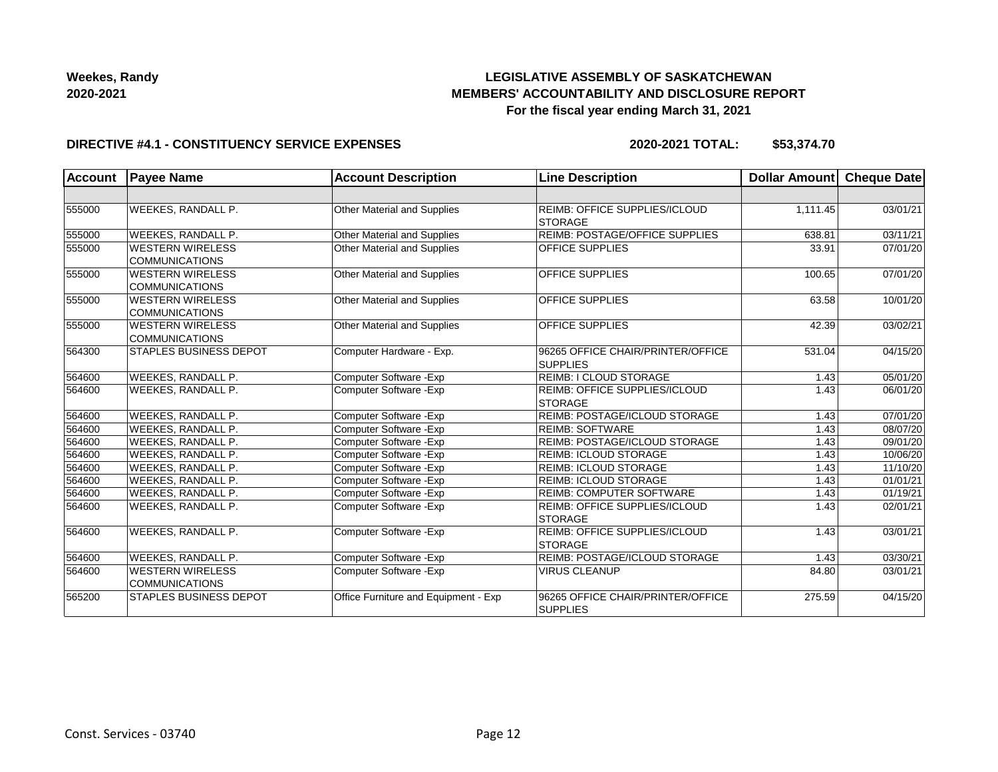## **LEGISLATIVE ASSEMBLY OF SASKATCHEWAN MEMBERS' ACCOUNTABILITY AND DISCLOSURE REPORT For the fiscal year ending March 31, 2021**

#### **DIRECTIVE #4.1 - CONSTITUENCY SERVICE EXPENSES**

| <b>Account</b> | <b>Payee Name</b>                                | <b>Account Description</b>           | <b>Line Description</b>                                | <b>Dollar Amount</b> | <b>Cheque Date</b>    |
|----------------|--------------------------------------------------|--------------------------------------|--------------------------------------------------------|----------------------|-----------------------|
|                |                                                  |                                      |                                                        |                      |                       |
| 555000         | <b>WEEKES, RANDALL P.</b>                        | Other Material and Supplies          | <b>REIMB: OFFICE SUPPLIES/ICLOUD</b><br><b>STORAGE</b> | 1,111.45             | 03/01/21              |
| 555000         | <b>WEEKES, RANDALL P.</b>                        | Other Material and Supplies          | REIMB: POSTAGE/OFFICE SUPPLIES                         | 638.81               | 03/11/21              |
| 555000         | <b>WESTERN WIRELESS</b><br><b>COMMUNICATIONS</b> | Other Material and Supplies          | <b>OFFICE SUPPLIES</b>                                 | 33.91                | 07/01/20              |
| 555000         | WESTERN WIRELESS<br>COMMUNICATIONS               | Other Material and Supplies          | <b>OFFICE SUPPLIES</b>                                 | 100.65               | 07/01/20              |
| 555000         | <b>WESTERN WIRELESS</b><br>COMMUNICATIONS        | <b>Other Material and Supplies</b>   | <b>OFFICE SUPPLIES</b>                                 | 63.58                | 10/01/20              |
| 555000         | <b>WESTERN WIRELESS</b><br><b>COMMUNICATIONS</b> | Other Material and Supplies          | <b>OFFICE SUPPLIES</b>                                 | 42.39                | 03/02/21              |
| 564300         | <b>STAPLES BUSINESS DEPOT</b>                    | Computer Hardware - Exp.             | 96265 OFFICE CHAIR/PRINTER/OFFICE<br><b>SUPPLIES</b>   | 531.04               | 04/15/20              |
| 564600         | <b>WEEKES, RANDALL P.</b>                        | Computer Software - Exp              | REIMB: I CLOUD STORAGE                                 | 1.43                 | 05/01/20              |
| 564600         | <b>WEEKES, RANDALL P.</b>                        | Computer Software - Exp              | <b>REIMB: OFFICE SUPPLIES/ICLOUD</b><br><b>STORAGE</b> | 1.43                 | 06/01/20              |
| 564600         | <b>WEEKES, RANDALL P.</b>                        | Computer Software - Exp              | REIMB: POSTAGE/ICLOUD STORAGE                          | 1.43                 | 07/01/20              |
| 564600         | <b>WEEKES, RANDALL P.</b>                        | Computer Software - Exp              | <b>REIMB: SOFTWARE</b>                                 | 1.43                 | 08/07/20              |
| 564600         | <b>WEEKES, RANDALL P.</b>                        | Computer Software - Exp              | REIMB: POSTAGE/ICLOUD STORAGE                          | 1.43                 | 09/01/20              |
| 564600         | <b>WEEKES, RANDALL P.</b>                        | Computer Software - Exp              | <b>REIMB: ICLOUD STORAGE</b>                           | 1.43                 | 10/06/20              |
| 564600         | <b>WEEKES, RANDALL P.</b>                        | Computer Software - Exp              | <b>REIMB: ICLOUD STORAGE</b>                           | 1.43                 | 11/10/20              |
| 564600         | <b>WEEKES, RANDALL P.</b>                        | Computer Software - Exp              | <b>REIMB: ICLOUD STORAGE</b>                           | 1.43                 | 01/01/21              |
| 564600         | <b>WEEKES, RANDALL P.</b>                        | Computer Software - Exp              | REIMB: COMPUTER SOFTWARE                               | 1.43                 | 01/19/21              |
| 564600         | WEEKES, RANDALL P.                               | Computer Software - Exp              | REIMB: OFFICE SUPPLIES/ICLOUD<br><b>STORAGE</b>        | 1.43                 | 02/01/21              |
| 564600         | WEEKES, RANDALL P.                               | Computer Software - Exp              | REIMB: OFFICE SUPPLIES/ICLOUD<br>STORAGE               | 1.43                 | $\overline{03/0}1/21$ |
| 564600         | <b>WEEKES, RANDALL P.</b>                        | Computer Software - Exp              | REIMB: POSTAGE/ICLOUD STORAGE                          | 1.43                 | 03/30/21              |
| 564600         | <b>WESTERN WIRELESS</b><br>COMMUNICATIONS        | Computer Software - Exp              | <b>VIRUS CLEANUP</b>                                   | 84.80                | 03/01/21              |
| 565200         | <b>STAPLES BUSINESS DEPOT</b>                    | Office Furniture and Equipment - Exp | 96265 OFFICE CHAIR/PRINTER/OFFICE<br><b>SUPPLIES</b>   | 275.59               | 04/15/20              |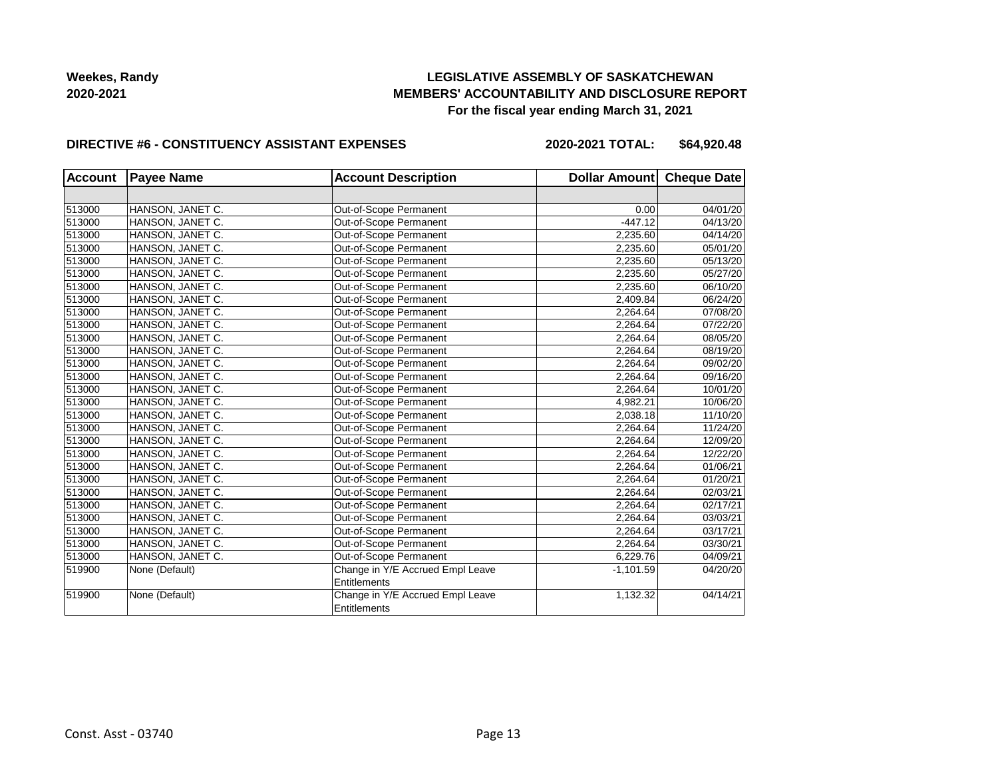## **LEGISLATIVE ASSEMBLY OF SASKATCHEWAN MEMBERS' ACCOUNTABILITY AND DISCLOSURE REPORT For the fiscal year ending March 31, 2021**

#### **DIRECTIVE #6 - CONSTITUENCY ASSISTANT EXPENSES**

**2020-2021 TOTAL: \$64,920.48**

| <b>Account</b> | <b>Payee Name</b> | <b>Account Description</b>       | Dollar Amount Cheque Date |          |
|----------------|-------------------|----------------------------------|---------------------------|----------|
|                |                   |                                  |                           |          |
| 513000         | HANSON, JANET C.  | Out-of-Scope Permanent           | 0.00                      | 04/01/20 |
| 513000         | HANSON, JANET C.  | Out-of-Scope Permanent           | $-447.12$                 | 04/13/20 |
| 513000         | HANSON, JANET C.  | Out-of-Scope Permanent           | 2.235.60                  | 04/14/20 |
| 513000         | HANSON, JANET C.  | Out-of-Scope Permanent           | 2,235.60                  | 05/01/20 |
| 513000         | HANSON, JANET C.  | Out-of-Scope Permanent           | 2,235.60                  | 05/13/20 |
| 513000         | HANSON, JANET C.  | Out-of-Scope Permanent           | 2,235.60                  | 05/27/20 |
| 513000         | HANSON, JANET C.  | Out-of-Scope Permanent           | 2,235.60                  | 06/10/20 |
| 513000         | HANSON, JANET C.  | Out-of-Scope Permanent           | 2,409.84                  | 06/24/20 |
| 513000         | HANSON, JANET C.  | Out-of-Scope Permanent           | 2,264.64                  | 07/08/20 |
| 513000         | HANSON, JANET C.  | Out-of-Scope Permanent           | 2,264.64                  | 07/22/20 |
| 513000         | HANSON, JANET C.  | Out-of-Scope Permanent           | 2,264.64                  | 08/05/20 |
| 513000         | HANSON, JANET C.  | Out-of-Scope Permanent           | 2,264.64                  | 08/19/20 |
| 513000         | HANSON, JANET C.  | Out-of-Scope Permanent           | 2,264.64                  | 09/02/20 |
| 513000         | HANSON, JANET C.  | Out-of-Scope Permanent           | 2,264.64                  | 09/16/20 |
| 513000         | HANSON, JANET C.  | Out-of-Scope Permanent           | 2,264.64                  | 10/01/20 |
| 513000         | HANSON, JANET C.  | Out-of-Scope Permanent           | 4,982.21                  | 10/06/20 |
| 513000         | HANSON, JANET C.  | Out-of-Scope Permanent           | 2,038.18                  | 11/10/20 |
| 513000         | HANSON, JANET C.  | Out-of-Scope Permanent           | 2,264.64                  | 11/24/20 |
| 513000         | HANSON, JANET C.  | Out-of-Scope Permanent           | 2,264.64                  | 12/09/20 |
| 513000         | HANSON, JANET C.  | Out-of-Scope Permanent           | 2,264.64                  | 12/22/20 |
| 513000         | HANSON, JANET C.  | Out-of-Scope Permanent           | 2,264.64                  | 01/06/21 |
| 513000         | HANSON, JANET C.  | Out-of-Scope Permanent           | 2,264.64                  | 01/20/21 |
| 513000         | HANSON, JANET C.  | Out-of-Scope Permanent           | 2,264.64                  | 02/03/21 |
| 513000         | HANSON, JANET C.  | Out-of-Scope Permanent           | 2,264.64                  | 02/17/21 |
| 513000         | HANSON, JANET C.  | Out-of-Scope Permanent           | 2,264.64                  | 03/03/21 |
| 513000         | HANSON, JANET C.  | Out-of-Scope Permanent           | 2,264.64                  | 03/17/21 |
| 513000         | HANSON, JANET C.  | Out-of-Scope Permanent           | 2.264.64                  | 03/30/21 |
| 513000         | HANSON, JANET C.  | Out-of-Scope Permanent           | 6,229.76                  | 04/09/21 |
| 519900         | None (Default)    | Change in Y/E Accrued Empl Leave | $-1,101.59$               | 04/20/20 |
|                |                   | <b>Entitlements</b>              |                           |          |
| 519900         | None (Default)    | Change in Y/E Accrued Empl Leave | 1,132.32                  | 04/14/21 |
|                |                   | Entitlements                     |                           |          |